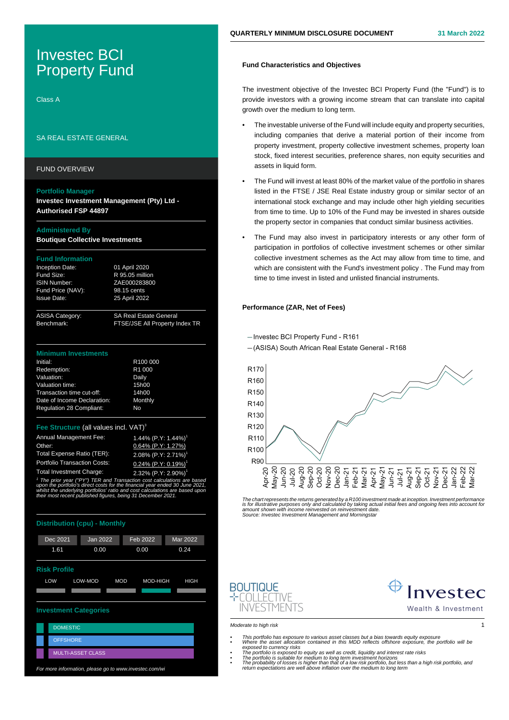# Investec BCI Property Fund

Class A

## SA REAL ESTATE GENERAL

FUND OVERVIEW

#### **Portfolio Manager**

**Investec Investment Management (Pty) Ltd - Authorised FSP 44897**

### **Administered By**

**Boutique Collective Investments**

#### **Fund Information**

| Inception Date:     |
|---------------------|
| Fund Size:          |
| <b>ISIN Number:</b> |
| Fund Price (NAV):   |
| <b>Issue Date:</b>  |

ASISA Category: SA Real Estate General<br>Benchmark: FTSE/JSE All Property I FTSE/JSE All Property Index TR

01 April 2020 R 95.05 million ZAE000283800 98.15 cents 25 April 2022

#### **Minimum Investments**

| Initial:                        | R <sub>100</sub> 000 |
|---------------------------------|----------------------|
| Redemption:                     | R <sub>1</sub> 000   |
| Valuation:                      | Daily                |
| Valuation time:                 | 15h00                |
| Transaction time cut-off:       | 14h00                |
| Date of Income Declaration:     | Monthly              |
| <b>Regulation 28 Compliant:</b> | No                   |
|                                 |                      |

#### **Structure** (all values incl. VAT)<sup>3</sup>

| Annual Management Fee:              | $1.44\%$ (P.Y: 1.44%) <sup>1</sup> |
|-------------------------------------|------------------------------------|
| Other:                              | $0.64\%$ (P.Y: 1.27%)              |
| Total Expense Ratio (TER):          | 2.08% (P.Y: 2.71%) <sup>1</sup>    |
| <b>Portfolio Transaction Costs:</b> | $0.24\%$ (P.Y: 0.19%) <sup>1</sup> |
| <b>Total Investment Charge:</b>     | 2.32% (P.Y: 2.90%) <sup>1</sup>    |

1 The prior year ("PY") TER and Transaction cost calculations are based upon the portfolio's direct costs for the financial year ended 30 June 2021, whilst the underlying portfolios' ratio and cost calculations are based upor. their most recent published figures, being 31 December 2021.

| <b>Distribution (cpu) - Monthly</b>                            |                          |          |                 |  |
|----------------------------------------------------------------|--------------------------|----------|-----------------|--|
| <b>Dec 2021</b>                                                | Jan 2022                 | Feb 2022 | <b>Mar 2022</b> |  |
| 1.61                                                           | 0.00                     | 0.00     | 0.24            |  |
| <b>Risk Profile</b>                                            |                          |          |                 |  |
| LOW<br>LOW-MOD<br><b>MOD</b><br><b>MOD-HIGH</b><br><b>HIGH</b> |                          |          |                 |  |
|                                                                |                          |          |                 |  |
| <b>Investment Categories</b>                                   |                          |          |                 |  |
| <b>DOMESTIC</b>                                                |                          |          |                 |  |
| <b>OFFSHORE</b>                                                |                          |          |                 |  |
|                                                                | <b>MULTI-ASSET CLASS</b> |          |                 |  |

For more information, please go to www.investec.com/wi

## **Fund Characteristics and Objectives**

The investment objective of the Investec BCI Property Fund (the "Fund") is to provide investors with a growing income stream that can translate into capital growth over the medium to long term.

- The investable universe of the Fund will include equity and property securities, including companies that derive a material portion of their income from property investment, property collective investment schemes, property loan stock, fixed interest securities, preference shares, non equity securities and assets in liquid form.
- The Fund will invest at least 80% of the market value of the portfolio in shares listed in the FTSE / JSE Real Estate industry group or similar sector of an international stock exchange and may include other high yielding securities from time to time. Up to 10% of the Fund may be invested in shares outside the property sector in companies that conduct similar business activities.
- The Fund may also invest in participatory interests or any other form of participation in portfolios of collective investment schemes or other similar collective investment schemes as the Act may allow from time to time, and which are consistent with the Fund's investment policy . The Fund may from time to time invest in listed and unlisted financial instruments.

## **Performance (ZAR, Net of Fees)**

-Investec BCI Property Fund - R161

-(ASISA) South African Real Estate General - R168



The chart represents the returns generated by a R100 investment made at inception. Investment performance is for illustrative purposes only and calculated by taking actual initial fees and ongoing fees into account fo<br>amount shown with income reinvested on reinvestment date.<br>Source: Investec Investment Management and Morningst





Wealth & Investment



- This portfolio has exposure to various asset classes but a bias towards equity exposure<br>• Where the asset allocation contained in this MDD reflects offshore exposure, the portfolio will be<br>• The portfolio is exposed to e
	-
	-
- return expectations are well above inflation over the medium to long term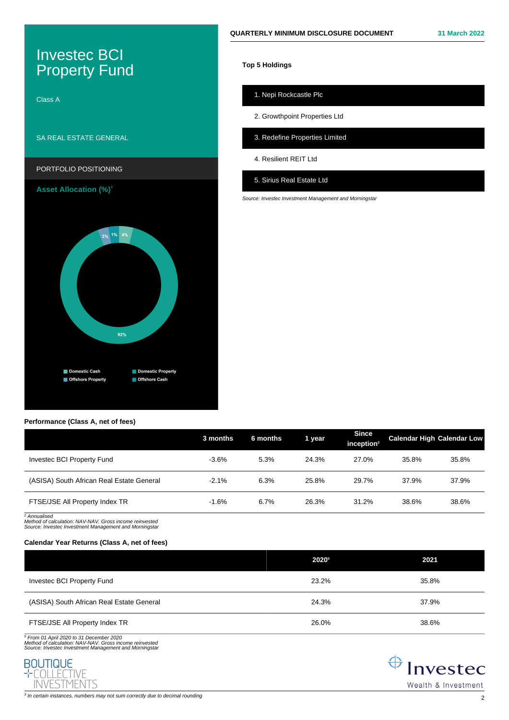# Investec BCI **Property Fund**

Class A

## SA REAL ESTATE GENERAL



**Asset Allocation (%)<sup>3</sup>**



## **Performance (Class A, net of fees)**

## 1. Nepi Rockcastle Plc

**Top 5 Holdings**

2. Growthpoint Properties Ltd

3. Redefine Properties Limited

4. Resilient REIT Ltd

## 5. Sirius Real Estate Ltd

Source: Investec Investment Management and Morningstar

|                                           | 3 months | 6 months | 1 year | <b>Since</b><br>inception $2$ |       | <b>Calendar High Calendar Low</b> |
|-------------------------------------------|----------|----------|--------|-------------------------------|-------|-----------------------------------|
| Invested BCI Property Fund                | $-3.6%$  | 5.3%     | 24.3%  | 27.0%                         | 35.8% | 35.8%                             |
| (ASISA) South African Real Estate General | $-2.1%$  | 6.3%     | 25.8%  | 29.7%                         | 37.9% | 37.9%                             |
| FTSE/JSE All Property Index TR            | $-1.6%$  | 6.7%     | 26.3%  | 31.2%                         | 38.6% | 38.6%                             |

2 Annualised Method of calculation: NAV-NAV. Gross income reinvested Source: Investec Investment Management and Morningstar

## **Calendar Year Returns (Class A, net of fees)**

|                                           | 20205 | 2021  |
|-------------------------------------------|-------|-------|
| Investec BCI Property Fund                | 23.2% | 35.8% |
| (ASISA) South African Real Estate General | 24.3% | 37.9% |
| FTSE/JSE All Property Index TR            | 26.0% | 38.6% |

<sup>5</sup> From 01 April 2020 to 31 December 2020<br>Method of calculation: NAV-NAV. Gross income reinvested<br>Source: Investec Investment Management and Morningstai